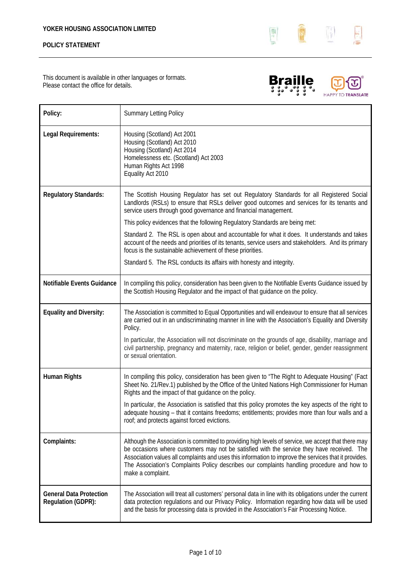

This document is available in other languages or formats. Please contact the office for details.





| Policy:                                              | <b>Summary Letting Policy</b>                                                                                                                                                                                                                                                                                                                                                                                                 |
|------------------------------------------------------|-------------------------------------------------------------------------------------------------------------------------------------------------------------------------------------------------------------------------------------------------------------------------------------------------------------------------------------------------------------------------------------------------------------------------------|
| Legal Requirements:                                  | Housing (Scotland) Act 2001<br>Housing (Scotland) Act 2010<br>Housing (Scotland) Act 2014<br>Homelessness etc. (Scotland) Act 2003<br>Human Rights Act 1998<br>Equality Act 2010                                                                                                                                                                                                                                              |
| <b>Regulatory Standards:</b>                         | The Scottish Housing Regulator has set out Regulatory Standards for all Registered Social<br>Landlords (RSLs) to ensure that RSLs deliver good outcomes and services for its tenants and<br>service users through good governance and financial management.                                                                                                                                                                   |
|                                                      | This policy evidences that the following Regulatory Standards are being met:                                                                                                                                                                                                                                                                                                                                                  |
|                                                      | Standard 2. The RSL is open about and accountable for what it does. It understands and takes<br>account of the needs and priorities of its tenants, service users and stakeholders. And its primary<br>focus is the sustainable achievement of these priorities.                                                                                                                                                              |
|                                                      | Standard 5. The RSL conducts its affairs with honesty and integrity.                                                                                                                                                                                                                                                                                                                                                          |
| Notifiable Events Guidance                           | In compiling this policy, consideration has been given to the Notifiable Events Guidance issued by<br>the Scottish Housing Regulator and the impact of that guidance on the policy.                                                                                                                                                                                                                                           |
| <b>Equality and Diversity:</b>                       | The Association is committed to Equal Opportunities and will endeavour to ensure that all services<br>are carried out in an undiscriminating manner in line with the Association's Equality and Diversity<br>Policy.                                                                                                                                                                                                          |
|                                                      | In particular, the Association will not discriminate on the grounds of age, disability, marriage and<br>civil partnership, pregnancy and maternity, race, religion or belief, gender, gender reassignment<br>or sexual orientation.                                                                                                                                                                                           |
| <b>Human Rights</b>                                  | In compiling this policy, consideration has been given to "The Right to Adequate Housing" (Fact<br>Sheet No. 21/Rev.1) published by the Office of the United Nations High Commissioner for Human<br>Rights and the impact of that guidance on the policy.                                                                                                                                                                     |
|                                                      | In particular, the Association is satisfied that this policy promotes the key aspects of the right to<br>adequate housing - that it contains freedoms; entitlements; provides more than four walls and a<br>roof; and protects against forced evictions.                                                                                                                                                                      |
| Complaints:                                          | Although the Association is committed to providing high levels of service, we accept that there may<br>be occasions where customers may not be satisfied with the service they have received. The<br>Association values all complaints and uses this information to improve the services that it provides.<br>The Association's Complaints Policy describes our complaints handling procedure and how to<br>make a complaint. |
| <b>General Data Protection</b><br>Regulation (GDPR): | The Association will treat all customers' personal data in line with its obligations under the current<br>data protection regulations and our Privacy Policy. Information regarding how data will be used<br>and the basis for processing data is provided in the Association's Fair Processing Notice.                                                                                                                       |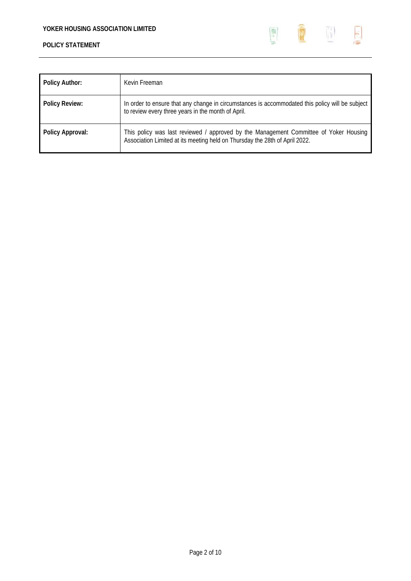

| <b>Policy Author:</b> | Kevin Freeman                                                                                                                                                        |
|-----------------------|----------------------------------------------------------------------------------------------------------------------------------------------------------------------|
| <b>Policy Review:</b> | In order to ensure that any change in circumstances is accommodated this policy will be subject<br>to review every three years in the month of April.                |
| Policy Approval:      | This policy was last reviewed / approved by the Management Committee of Yoker Housing<br>Association Limited at its meeting held on Thursday the 28th of April 2022. |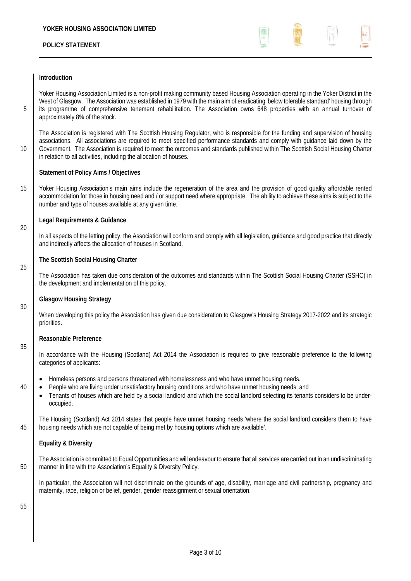

#### **Introduction**

Yoker Housing Association Limited is a non-profit making community based Housing Association operating in the Yoker District in the West of Glasgow. The Association was established in 1979 with the main aim of eradicating 'below tolerable standard' housing through 5 its programme of comprehensive tenement rehabilitation. The Association owns 648 properties with an annual turnover of approximately 8% of the stock.

The Association is registered with The Scottish Housing Regulator, who is responsible for the funding and supervision of housing associations. All associations are required to meet specified performance standards and comply with guidance laid down by the 10 Government. The Association is required to meet the outcomes and standards published within The Scottish Social Housing Charter in relation to all activities, including the allocation of houses.

#### **Statement of Policy Aims / Objectives**

15 Yoker Housing Association's main aims include the regeneration of the area and the provision of good quality affordable rented accommodation for those in housing need and / or support need where appropriate. The ability to achieve these aims is subject to the number and type of houses available at any given time.

#### **Legal Requirements & Guidance**

In all aspects of the letting policy, the Association will conform and comply with all legislation, guidance and good practice that directly and indirectly affects the allocation of houses in Scotland.

#### **The Scottish Social Housing Charter**

The Association has taken due consideration of the outcomes and standards within The Scottish Social Housing Charter (SSHC) in the development and implementation of this policy.

#### **Glasgow Housing Strategy**

When developing this policy the Association has given due consideration to Glasgow's Housing Strategy 2017-2022 and its strategic priorities.

#### **Reasonable Preference**

In accordance with the Housing (Scotland) Act 2014 the Association is required to give reasonable preference to the following categories of applicants:

- Homeless persons and persons threatened with homelessness and who have unmet housing needs.
- 40 People who are living under unsatisfactory housing conditions and who have unmet housing needs; and
	- Tenants of houses which are held by a social landlord and which the social landlord selecting its tenants considers to be underoccupied.

The Housing (Scotland) Act 2014 states that people have unmet housing needs 'where the social landlord considers them to have 45 housing needs which are not capable of being met by housing options which are available'.

#### **Equality & Diversity**

The Association is committed to Equal Opportunities and will endeavour to ensure that all services are carried out in an undiscriminating 50 manner in line with the Association's Equality & Diversity Policy.

In particular, the Association will not discriminate on the grounds of age, disability, marriage and civil partnership, pregnancy and maternity, race, religion or belief, gender, gender reassignment or sexual orientation.

55

20

25

30

35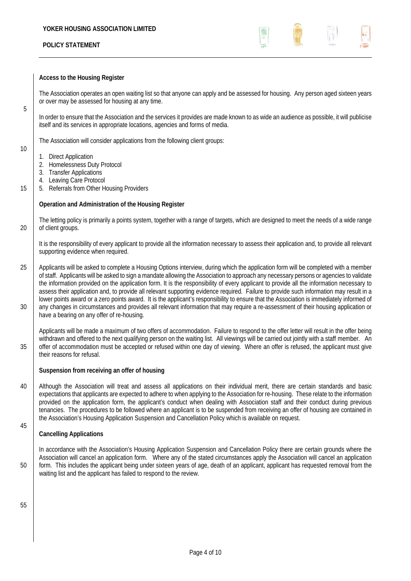

#### **Access to the Housing Register**

The Association operates an open waiting list so that anyone can apply and be assessed for housing. Any person aged sixteen years or over may be assessed for housing at any time.

In order to ensure that the Association and the services it provides are made known to as wide an audience as possible, it will publicise itself and its services in appropriate locations, agencies and forms of media.

The Association will consider applications from the following client groups:

10

5

- 1. Direct Application
- 2. Homelessness Duty Protocol
- 3. Transfer Applications
- 4. Leaving Care Protocol
- 15 | 5. Referrals from Other Housing Providers

#### **Operation and Administration of the Housing Register**

The letting policy is primarily a points system, together with a range of targets, which are designed to meet the needs of a wide range 20 | of client groups.

It is the responsibility of every applicant to provide all the information necessary to assess their application and, to provide all relevant supporting evidence when required.

25 Applicants will be asked to complete a Housing Options interview, during which the application form will be completed with a member of staff. Applicants will be asked to sign a mandate allowing the Association to approach any necessary persons or agencies to validate the information provided on the application form. It is the responsibility of every applicant to provide all the information necessary to assess their application and, to provide all relevant supporting evidence required. Failure to provide such information may result in a lower points award or a zero points award. It is the applicant's responsibility to ensure that the Association is immediately informed of 30 any changes in circumstances and provides all relevant information that may require a re-assessment of their housing application or have a bearing on any offer of re-housing.

Applicants will be made a maximum of two offers of accommodation. Failure to respond to the offer letter will result in the offer being withdrawn and offered to the next qualifying person on the waiting list. All viewings will be carried out jointly with a staff member. An 35 offer of accommodation must be accepted or refused within one day of viewing. Where an offer is refused, the applicant must give their reasons for refusal.

#### **Suspension from receiving an offer of housing**

40 Although the Association will treat and assess all applications on their individual merit, there are certain standards and basic expectations that applicants are expected to adhere to when applying to the Association for re-housing. These relate to the information provided on the application form, the applicant's conduct when dealing with Association staff and their conduct during previous tenancies. The procedures to be followed where an applicant is to be suspended from receiving an offer of housing are contained in the Association's Housing Application Suspension and Cancellation Policy which is available on request.

#### **Cancelling Applications**

In accordance with the Association's Housing Application Suspension and Cancellation Policy there are certain grounds where the Association will cancel an application form. Where any of the stated circumstances apply the Association will cancel an application 50 form. This includes the applicant being under sixteen years of age, death of an applicant, applicant has requested removal from the waiting list and the applicant has failed to respond to the review.

55

45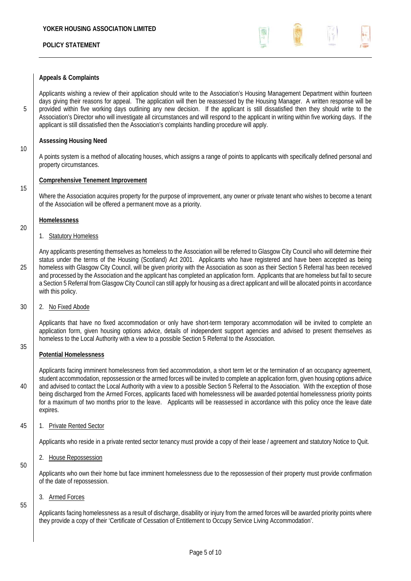

### **Appeals & Complaints**

Applicants wishing a review of their application should write to the Association's Housing Management Department within fourteen days giving their reasons for appeal. The application will then be reassessed by the Housing Manager. A written response will be 5 provided within five working days outlining any new decision. If the applicant is still dissatisfied then they should write to the Association's Director who will investigate all circumstances and will respond to the applicant in writing within five working days. If the applicant is still dissatisfied then the Association's complaints handling procedure will apply.

### **Assessing Housing Need**

A points system is a method of allocating houses, which assigns a range of points to applicants with specifically defined personal and property circumstances.

#### **Comprehensive Tenement Improvement**

Where the Association acquires property for the purpose of improvement, any owner or private tenant who wishes to become a tenant of the Association will be offered a permanent move as a priority.

#### **Homelessness**

10

15

20

35

50

55

#### 1. Statutory Homeless

Any applicants presenting themselves as homeless to the Association will be referred to Glasgow City Council who will determine their status under the terms of the Housing (Scotland) Act 2001. Applicants who have registered and have been accepted as being 25 homeless with Glasgow City Council, will be given priority with the Association as soon as their Section 5 Referral has been received and processed by the Association and the applicant has completed an application form. Applicants that are homeless but fail to secure a Section 5 Referral from Glasgow City Council can still apply for housing as a direct applicant and will be allocated points in accordance with this policy.

### 30 2. No Fixed Abode

Applicants that have no fixed accommodation or only have short-term temporary accommodation will be invited to complete an application form, given housing options advice, details of independent support agencies and advised to present themselves as homeless to the Local Authority with a view to a possible Section 5 Referral to the Association.

# **Potential Homelessness**

Applicants facing imminent homelessness from tied accommodation, a short term let or the termination of an occupancy agreement, student accommodation, repossession or the armed forces will be invited to complete an application form, given housing options advice 40 and advised to contact the Local Authority with a view to a possible Section 5 Referral to the Association. With the exception of those being discharged from the Armed Forces, applicants faced with homelessness will be awarded potential homelessness priority points for a maximum of two months prior to the leave. Applicants will be reassessed in accordance with this policy once the leave date expires.

#### 45 1. Private Rented Sector

Applicants who reside in a private rented sector tenancy must provide a copy of their lease / agreement and statutory Notice to Quit.

2. House Repossession

Applicants who own their home but face imminent homelessness due to the repossession of their property must provide confirmation of the date of repossession.

#### 3. Armed Forces

Applicants facing homelessness as a result of discharge, disability or injury from the armed forces will be awarded priority points where they provide a copy of their 'Certificate of Cessation of Entitlement to Occupy Service Living Accommodation'.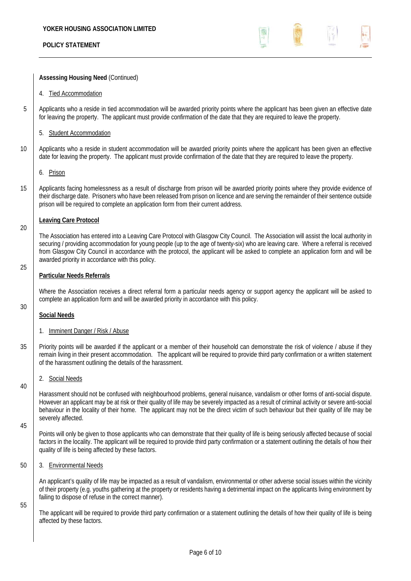

**Assessing Housing Need** (Continued)

- 4. Tied Accommodation
- 5 Applicants who a reside in tied accommodation will be awarded priority points where the applicant has been given an effective date for leaving the property. The applicant must provide confirmation of the date that they are required to leave the property.
	- 5. Student Accommodation
- 10 Applicants who a reside in student accommodation will be awarded priority points where the applicant has been given an effective date for leaving the property. The applicant must provide confirmation of the date that they are required to leave the property.
	- 6. Prison
- 15 | Applicants facing homelessness as a result of discharge from prison will be awarded priority points where they provide evidence of their discharge date. Prisoners who have been released from prison on licence and are serving the remainder of their sentence outside prison will be required to complete an application form from their current address.

#### **Leaving Care Protocol**

The Association has entered into a Leaving Care Protocol with Glasgow City Council. The Association will assist the local authority in securing / providing accommodation for young people (up to the age of twenty-six) who are leaving care. Where a referral is received from Glasgow City Council in accordance with the protocol, the applicant will be asked to complete an application form and will be awarded priority in accordance with this policy.

#### **Particular Needs Referrals**

Where the Association receives a direct referral form a particular needs agency or support agency the applicant will be asked to complete an application form and will be awarded priority in accordance with this policy.

# 30

20

25

- **Social Needs**
- 1. Imminent Danger / Risk / Abuse
- 35 Priority points will be awarded if the applicant or a member of their household can demonstrate the risk of violence / abuse if they remain living in their present accommodation. The applicant will be required to provide third party confirmation or a written statement of the harassment outlining the details of the harassment.
	- 2. Social Needs

Harassment should not be confused with neighbourhood problems, general nuisance, vandalism or other forms of anti-social dispute. However an applicant may be at risk or their quality of life may be severely impacted as a result of criminal activity or severe anti-social behaviour in the locality of their home. The applicant may not be the direct victim of such behaviour but their quality of life may be severely affected.

45

40

Points will only be given to those applicants who can demonstrate that their quality of life is being seriously affected because of social factors in the locality. The applicant will be required to provide third party confirmation or a statement outlining the details of how their quality of life is being affected by these factors.

50 3. Environmental Needs

An applicant's quality of life may be impacted as a result of vandalism, environmental or other adverse social issues within the vicinity of their property (e.g. youths gathering at the property or residents having a detrimental impact on the applicants living environment by failing to dispose of refuse in the correct manner).

55

The applicant will be required to provide third party confirmation or a statement outlining the details of how their quality of life is being affected by these factors.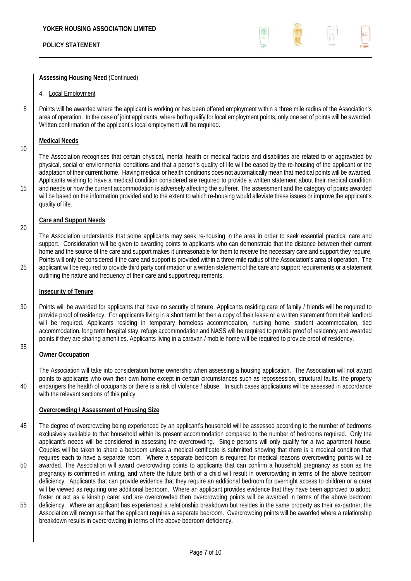

#### **Assessing Housing Need** (Continued)

- 4. Local Employment
- 5 Points will be awarded where the applicant is working or has been offered employment within a three mile radius of the Association's area of operation. In the case of joint applicants, where both qualify for local employment points, only one set of points will be awarded. Written confirmation of the applicant's local employment will be required.

#### **Medical Needs**

10

20

The Association recognises that certain physical, mental health or medical factors and disabilities are related to or aggravated by physical, social or environmental conditions and that a person's quality of life will be eased by the re-housing of the applicant or the adaptation of their current home. Having medical or health conditions does not automatically mean that medical points will be awarded. Applicants wishing to have a medical condition considered are required to provide a written statement about their medical condition 15 and needs or how the current accommodation is adversely affecting the sufferer. The assessment and the category of points awarded will be based on the information provided and to the extent to which re-housing would alleviate these issues or improve the applicant's quality of life.

#### **Care and Support Needs**

The Association understands that some applicants may seek re-housing in the area in order to seek essential practical care and support. Consideration will be given to awarding points to applicants who can demonstrate that the distance between their current home and the source of the care and support makes it unreasonable for them to receive the necessary care and support they require. Points will only be considered if the care and support is provided within a three-mile radius of the Association's area of operation. The 25 applicant will be required to provide third party confirmation or a written statement of the care and support requirements or a statement outlining the nature and frequency of their care and support requirements.

#### **Insecurity of Tenure**

30 Points will be awarded for applicants that have no security of tenure. Applicants residing care of family / friends will be required to provide proof of residency. For applicants living in a short term let then a copy of their lease or a written statement from their landlord will be required. Applicants residing in temporary homeless accommodation, nursing home, student accommodation, tied accommodation, long term hospital stay, refuge accommodation and NASS will be required to provide proof of residency and awarded points if they are sharing amenities. Applicants living in a caravan / mobile home will be required to provide proof of residency.

35

#### **Owner Occupation**

The Association will take into consideration home ownership when assessing a housing application. The Association will not award points to applicants who own their own home except in certain circumstances such as repossession, structural faults, the property 40 endangers the health of occupants or there is a risk of violence / abuse. In such cases applications will be assessed in accordance with the relevant sections of this policy.

#### **Overcrowding / Assessment of Housing Size**

- 45 The degree of overcrowding being experienced by an applicant's household will be assessed according to the number of bedrooms exclusively available to that household within its present accommodation compared to the number of bedrooms required. Only the applicant's needs will be considered in assessing the overcrowding. Single persons will only qualify for a two apartment house. Couples will be taken to share a bedroom unless a medical certificate is submitted showing that there is a medical condition that requires each to have a separate room. Where a separate bedroom is required for medical reasons overcrowding points will be 50 awarded. The Association will award overcrowding points to applicants that can confirm a household pregnancy as soon as the pregnancy is confirmed in writing, and where the future birth of a child will result in overcrowding in terms of the above bedroom deficiency. Applicants that can provide evidence that they require an additional bedroom for overnight access to children or a carer will be viewed as requiring one additional bedroom. Where an applicant provides evidence that they have been approved to adopt, foster or act as a kinship carer and are overcrowded then overcrowding points will be awarded in terms of the above bedroom 55 deficiency. Where an applicant has experienced a relationship breakdown but resides in the same property as their ex-partner, the Association will recognise that the applicant requires a separate bedroom. Overcrowding points will be awarded where a relationship breakdown results in overcrowding in terms of the above bedroom deficiency.
-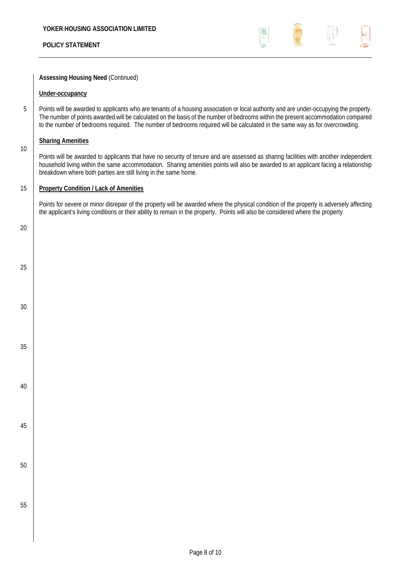

### **Assessing Housing Need** (Continued)

#### **Under-occupancy**

5 Points will be awarded to applicants who are tenants of a housing association or local authority and are under-occupying the property. The number of points awarded will be calculated on the basis of the number of bedrooms within the present accommodation compared to the number of bedrooms required. The number of bedrooms required will be calculated in the same way as for overcrowding.

#### **Sharing Amenities**

Points will be awarded to applicants that have no security of tenure and are assessed as sharing facilities with another independent household living within the same accommodation. Sharing amenities points will also be awarded to an applicant facing a relationship breakdown where both parties are still living in the same home.

### 15 **Property Condition / Lack of Amenities**

Points for severe or minor disrepair of the property will be awarded where the physical condition of the property is adversely affecting the applicant's living conditions or their ability to remain in the property. Points will also be considered where the property

20

25

30

35

40

45

50

55

10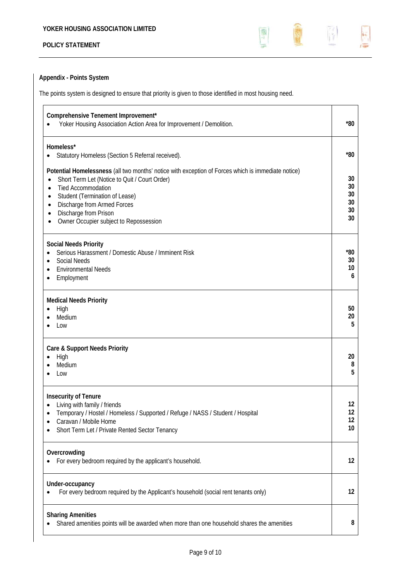

# **Appendix - Points System**

The points system is designed to ensure that priority is given to those identified in most housing need.

| Comprehensive Tenement Improvement*<br>Yoker Housing Association Action Area for Improvement / Demolition.                                                                                                                                                                                                                                                                                         | *80                              |
|----------------------------------------------------------------------------------------------------------------------------------------------------------------------------------------------------------------------------------------------------------------------------------------------------------------------------------------------------------------------------------------------------|----------------------------------|
| Homeless*<br>Statutory Homeless (Section 5 Referral received).<br>$\bullet$                                                                                                                                                                                                                                                                                                                        | $*80$                            |
| Potential Homelessness (all two months' notice with exception of Forces which is immediate notice)<br>Short Term Let (Notice to Quit / Court Order)<br>$\bullet$<br><b>Tied Accommodation</b><br>$\bullet$<br>Student (Termination of Lease)<br>$\bullet$<br>Discharge from Armed Forces<br>$\bullet$<br>Discharge from Prison<br>$\bullet$<br>Owner Occupier subject to Repossession<br>$\bullet$ | 30<br>30<br>30<br>30<br>30<br>30 |
| <b>Social Needs Priority</b><br>Serious Harassment / Domestic Abuse / Imminent Risk<br><b>Social Needs</b><br><b>Environmental Needs</b><br>$\bullet$<br>Employment                                                                                                                                                                                                                                | $*80$<br>30<br>10<br>6           |
| <b>Medical Needs Priority</b><br>High<br>٠<br>Medium<br>Low                                                                                                                                                                                                                                                                                                                                        | 50<br>20<br>5                    |
| Care & Support Needs Priority<br>High<br>Medium<br>Low                                                                                                                                                                                                                                                                                                                                             | 20<br>8<br>5                     |
| <b>Insecurity of Tenure</b><br>Living with family / friends<br>Temporary / Hostel / Homeless / Supported / Refuge / NASS / Student / Hospital<br>Caravan / Mobile Home<br>Short Term Let / Private Rented Sector Tenancy                                                                                                                                                                           |                                  |
| Overcrowding<br>For every bedroom required by the applicant's household.                                                                                                                                                                                                                                                                                                                           | 12                               |
| Under-occupancy<br>For every bedroom required by the Applicant's household (social rent tenants only)                                                                                                                                                                                                                                                                                              | 12                               |
| <b>Sharing Amenities</b><br>Shared amenities points will be awarded when more than one household shares the amenities                                                                                                                                                                                                                                                                              | 8                                |